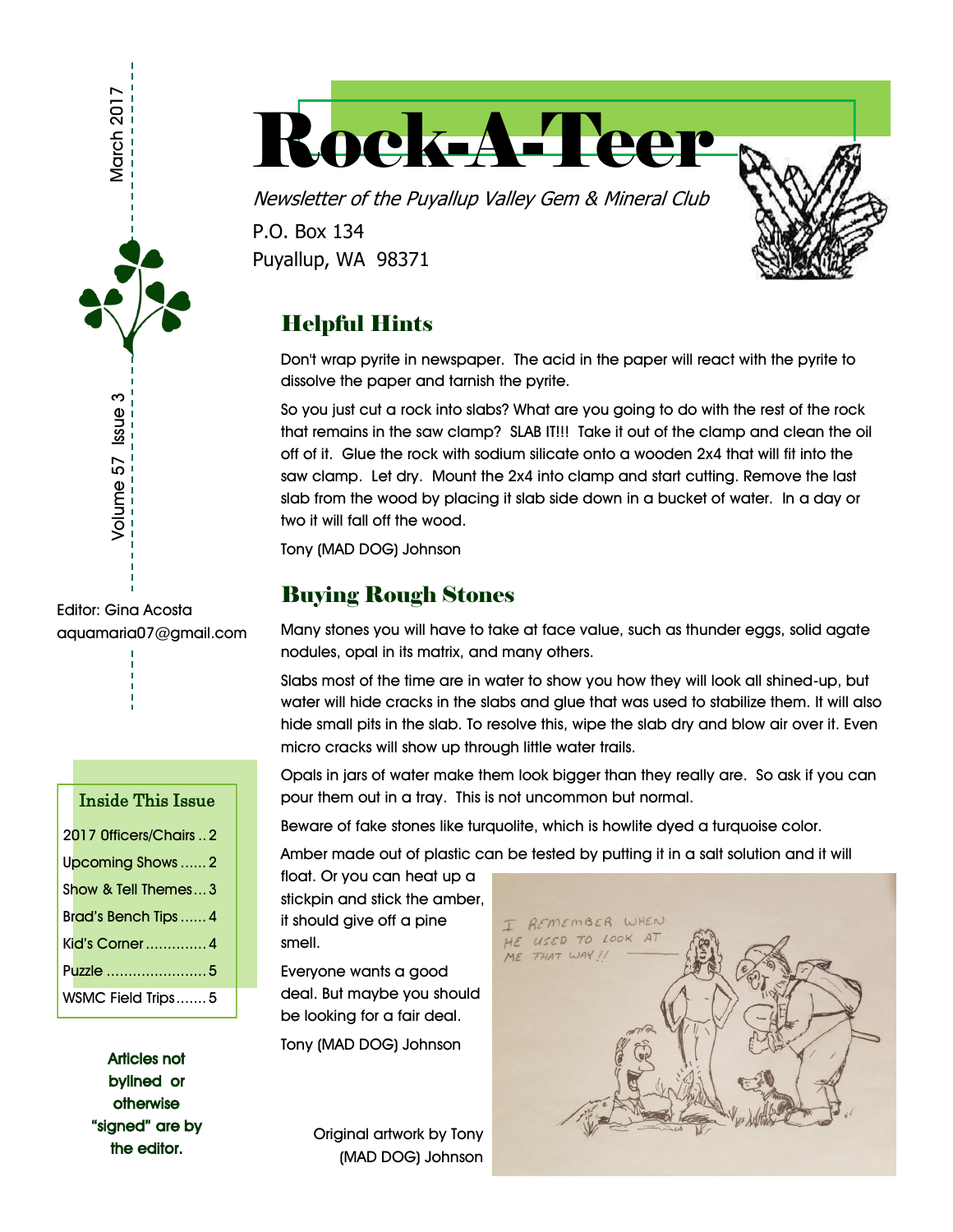

# Rock-A-Teer

Newsletter of the Puyallup Valley Gem & Mineral Club P.O. Box 134 Puyallup, WA 98371

# Helpful Hints

Don't wrap pyrite in newspaper. The acid in the paper will react with the pyrite to dissolve the paper and tarnish the pyrite.

So you just cut a rock into slabs? What are you going to do with the rest of the rock that remains in the saw clamp? SLAB IT!!! Take it out of the clamp and clean the oil off of it. Glue the rock with sodium silicate onto a wooden 2x4 that will fit into the saw clamp. Let dry. Mount the 2x4 into clamp and start cutting. Remove the last slab from the wood by placing it slab side down in a bucket of water. In a day or two it will fall off the wood.

Tony (MAD DOG) Johnson

## Buying Rough Stones

Many stones you will have to take at face value, such as thunder eggs, solid agate nodules, opal in its matrix, and many others.

Slabs most of the time are in water to show you how they will look all shined-up, but water will hide cracks in the slabs and glue that was used to stabilize them. It will also hide small pits in the slab. To resolve this, wipe the slab dry and blow air over it. Even micro cracks will show up through little water trails.

Opals in jars of water make them look bigger than they really are. So ask if you can pour them out in a tray. This is not uncommon but normal.

Beware of fake stones like turquolite, which is howlite dyed a turquoise color.

Amber made out of plastic can be tested by putting it in a salt solution and it will

float. Or you can heat up a stickpin and stick the amber, it should give off a pine smell.

Everyone wants a good deal. But maybe you should be looking for a fair deal.

Tony (MAD DOG) Johnson

Original artwork by Tony (MAD DOG) Johnson



aquamaria07@gmail.com

#### Inside This Issue

| 2017 Officers/Chairs  2 |
|-------------------------|
| Upcoming Shows  2       |
| Show & Tell Themes3     |
| Brad's Bench Tips  4    |
| Kid's Corner  4         |
| Puzzle 5                |
| WSMC Field Trips5       |

Articles not bylined or otherwise "signed" are by the editor.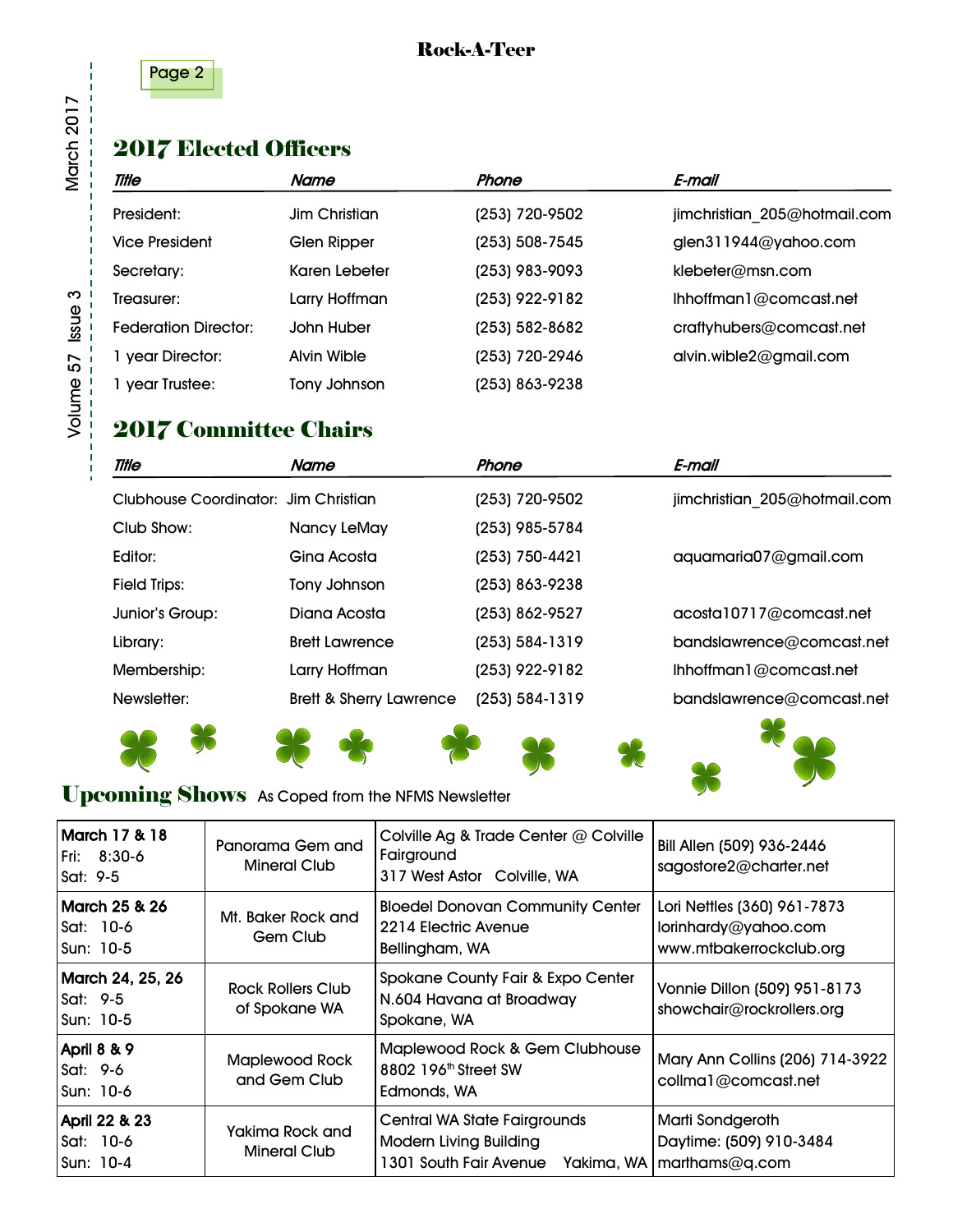

#### Rock-A-Teer

# 2017 Elected Officers

| <b>Title</b>                | Name               | Phone          | E-mail                       |
|-----------------------------|--------------------|----------------|------------------------------|
| President:                  | Jim Christian      | (253) 720-9502 | jimchristian 205@hotmail.com |
| Vice President              | Glen Ripper        | (253) 508-7545 | glen311944@yahoo.com         |
| Secretary:                  | Karen Lebeter      | (253) 983-9093 | klebeter@msn.com             |
| Treasurer:                  | Larry Hoffman      | (253) 922-9182 | Ihhoffman1@comcast.net       |
| <b>Federation Director:</b> | John Huber         | (253) 582-8682 | craftyhubers@comcast.net     |
| 1 year Director:            | <b>Alvin Wible</b> | (253) 720-2946 | alvin.wible2@gmail.com       |
| 1 year Trustee:             | Tony Johnson       | (253) 863-9238 |                              |

## 2017 Committee Chairs

| <b>Title</b>                         | Name                               | Phone          | E-mail                       |
|--------------------------------------|------------------------------------|----------------|------------------------------|
| Clubhouse Coordinator: Jim Christian |                                    | (253) 720-9502 | jimchristian 205@hotmail.com |
| Club Show:                           | Nancy LeMay                        | (253) 985-5784 |                              |
| Editor:                              | Gina Acosta                        | (253) 750-4421 | aquamaria07@gmail.com        |
| <b>Field Trips:</b>                  | Tony Johnson                       | (253) 863-9238 |                              |
| Junior's Group:                      | Diana Acosta                       | (253) 862-9527 | acosta10717@comcast.net      |
| Library:                             | <b>Brett Lawrence</b>              | (253) 584-1319 | bandslawrence@comcast.net    |
| Membership:                          | Larry Hoffman                      | (253) 922-9182 | Ihhoffman1@comcast.net       |
| Newsletter:                          | <b>Brett &amp; Sherry Lawrence</b> | (253) 584-1319 | bandslawrence@comcast.net    |
|                                      |                                    |                |                              |



## Upcoming Shows As Coped from the NFMS Newsletter

| <b>March 17 &amp; 18</b><br>Fri: 8:30-6<br>Sat: $9-5$ | Panorama Gem and<br>Mineral Club       | Colville Ag & Trade Center @ Colville<br>Fairground<br>317 West Astor Colville, WA                                         | Bill Allen (509) 936-2446<br>sagostore2@charter.net                            |  |  |
|-------------------------------------------------------|----------------------------------------|----------------------------------------------------------------------------------------------------------------------------|--------------------------------------------------------------------------------|--|--|
| March 25 & 26<br>Sat: 10-6<br>Sun: 10-5               | Mt. Baker Rock and<br>Gem Club         | <b>Bloedel Donovan Community Center</b><br>2214 Electric Avenue<br>Bellingham, WA                                          | Lori Nettles (360) 961-7873<br>lorinhardy@yahoo.com<br>www.mtbakerrockclub.org |  |  |
| March 24, 25, 26<br>Sat: $9-5$<br>Sun: 10-5           | Rock Rollers Club<br>of Spokane WA     | Spokane County Fair & Expo Center<br>N.604 Havana at Broadway<br>Spokane, WA                                               | Vonnie Dillon (509) 951-8173<br>showchair@rockrollers.org                      |  |  |
| April 8 & 9<br>Sat: $9-6$<br>Sun: 10-6                | <b>Maplewood Rock</b><br>and Gem Club  | Maplewood Rock & Gem Clubhouse<br>8802 196 <sup>th</sup> Street SW<br>Edmonds, WA                                          | Mary Ann Collins (206) 714-3922<br>collma1@comcast.net                         |  |  |
| April 22 & 23<br>Sat: 10-6<br>Sun: 10-4               | Yakima Rock and<br><b>Mineral Club</b> | <b>Central WA State Fairgrounds</b><br><b>Modern Living Building</b><br>1301 South Fair Avenue Yakima, WA   marthams@q.com | Marti Sondgeroth<br>Daytime: (509) 910-3484                                    |  |  |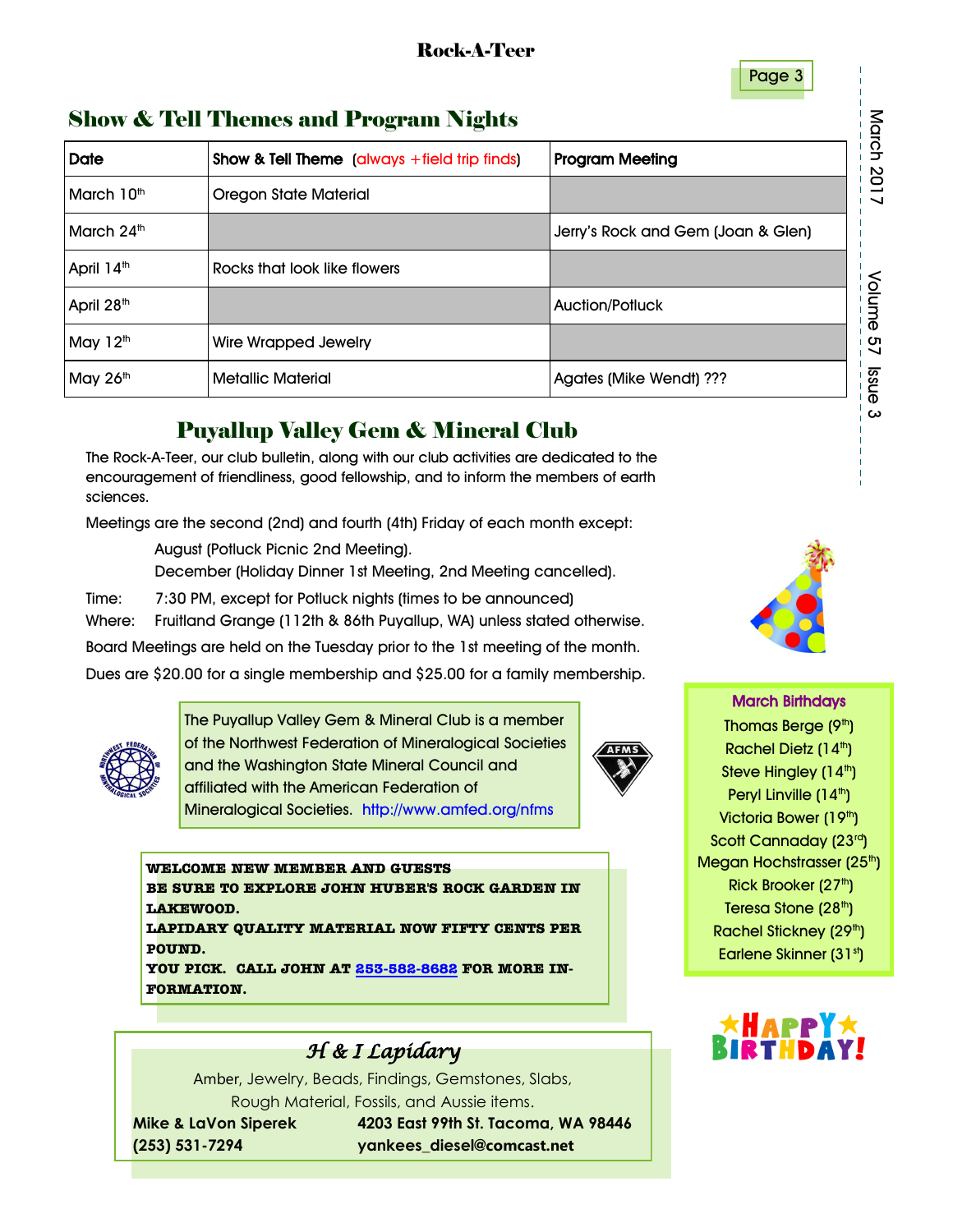#### Page 3

## Show & Tell Themes and Program Nights

| <b>Show &amp; Tell Themes and Program Nights</b> |                                                                        |                                    |  |  |  |  |  |  |  |  |
|--------------------------------------------------|------------------------------------------------------------------------|------------------------------------|--|--|--|--|--|--|--|--|
| <b>Date</b>                                      | <b>Program Meeting</b><br>Show & Tell Theme (always +field trip finds) |                                    |  |  |  |  |  |  |  |  |
| March 10 <sup>th</sup>                           | <b>Oregon State Material</b>                                           |                                    |  |  |  |  |  |  |  |  |
| March 24th                                       |                                                                        | Jerry's Rock and Gem (Joan & Glen) |  |  |  |  |  |  |  |  |
| April 14 <sup>th</sup>                           | Rocks that look like flowers                                           |                                    |  |  |  |  |  |  |  |  |
| April 28 <sup>th</sup>                           |                                                                        | <b>Auction/Potluck</b>             |  |  |  |  |  |  |  |  |
| May 12 <sup>th</sup>                             | Wire Wrapped Jewelry                                                   |                                    |  |  |  |  |  |  |  |  |
| May 26th                                         | <b>Metallic Material</b>                                               | Agates (Mike Wendt) ???            |  |  |  |  |  |  |  |  |

## Puyallup Valley Gem & Mineral Club

The Rock-A-Teer, our club bulletin, along with our club activities are dedicated to the encouragement of friendliness, good fellowship, and to inform the members of earth sciences.

Meetings are the second (2nd) and fourth (4th) Friday of each month except:

August (Potluck Picnic 2nd Meeting).

December (Holiday Dinner 1st Meeting, 2nd Meeting cancelled).

Time: 7:30 PM, except for Potluck nights (times to be announced)

Where: Fruitland Grange (112th & 86th Puyallup, WA) unless stated otherwise.

Board Meetings are held on the Tuesday prior to the 1st meeting of the month.

Dues are \$20.00 for a single membership and \$25.00 for a family membership.



The Puyallup Valley Gem & Mineral Club is a member of the Northwest Federation of Mineralogical Societies and the Washington State Mineral Council and affiliated with the American Federation of Mineralogical Societies. http://www.amfed.org/nfms



**WELCOME NEW MEMBER AND GUESTS BE SURE TO EXPLORE JOHN HUBER'S ROCK GARDEN IN LAKEWOOD.**

**LAPIDARY QUALITY MATERIAL NOW FIFTY CENTS PER POUND.** 

**YOU PICK. CALL JOHN AT [253-582-8682](tel:253-582-8682) FOR MORE IN-FORMATION.**



Amber, Jewelry, Beads, Findings, Gemstones, Slabs, Rough Material, Fossils, and Aussie items.

 **Mike & LaVon Siperek 4203 East 99th St. Tacoma, WA 98446 (253) 531-7294 yankees\_diesel@comcast.net**



March Birthdays Thomas Berge (9<sup>th</sup>) Rachel Dietz (14th) Steve Hingley  $(14<sup>th</sup>)$ Peryl Linville (14<sup>th</sup>) Victoria Bower (19<sup>th</sup>) Scott Cannaday (23rd) Megan Hochstrasser (25<sup>th</sup>) Rick Brooker (27th) Teresa Stone (28<sup>th</sup>) Rachel Stickney (29<sup>th</sup>) Earlene Skinner (31st)

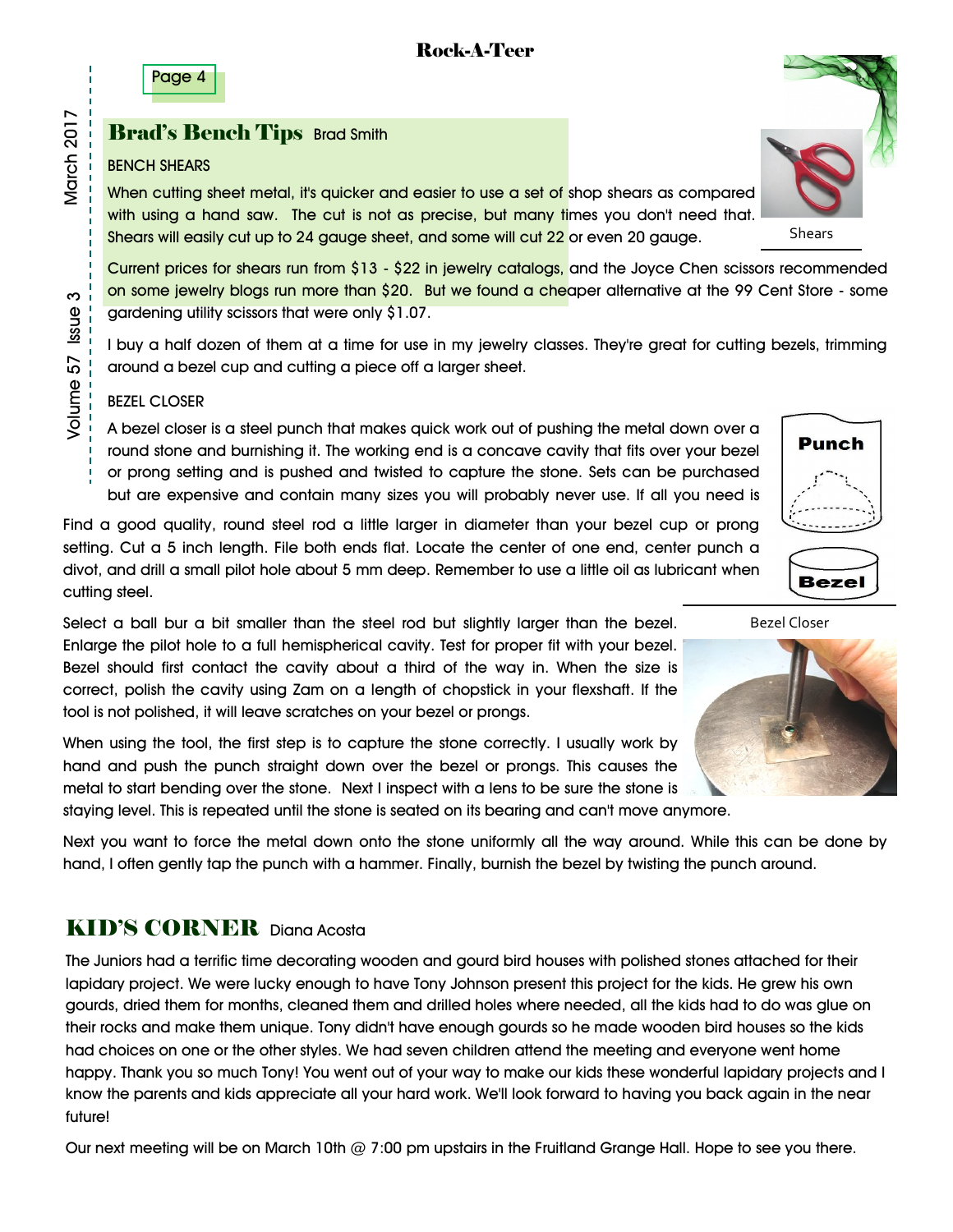Page 4

#### **Brad's Bench Tips Brad Smith**

#### BENCH SHEARS

When cutting sheet metal, it's quicker and easier to use a set of shop shears as compared with using a hand saw. The cut is not as precise, but many fimes you don't need that. Shears will easily cut up to 24 gauge sheet, and some will cut 22 or even 20 gauge.

Current prices for shears run from \$13 - \$22 in jewelry catalogs, and the Joyce Chen scissors recommended on some jewelry blogs run more than \$20. But we found a cheaper alternative at the 99 Cent Store - some gardening utility scissors that were only \$1.07.

I buy a half dozen of them at a time for use in my jewelry classes. They're great for cutting bezels, trimming around a bezel cup and cutting a piece off a larger sheet.

#### BEZEL CLOSER

A bezel closer is a steel punch that makes quick work out of pushing the metal down over a round stone and burnishing it. The working end is a concave cavity that fits over your bezel or prong setting and is pushed and twisted to capture the stone. Sets can be purchased but are expensive and contain many sizes you will probably never use. If all you need is

Find a good quality, round steel rod a little larger in diameter than your bezel cup or prong setting. Cut a 5 inch length. File both ends flat. Locate the center of one end, center punch a divot, and drill a small pilot hole about 5 mm deep. Remember to use a little oil as lubricant when cutting steel.

Select a ball bur a bit smaller than the steel rod but slightly larger than the bezel. Enlarge the pilot hole to a full hemispherical cavity. Test for proper fit with your bezel. Bezel should first contact the cavity about a third of the way in. When the size is correct, polish the cavity using Zam on a length of chopstick in your flexshaft. If the tool is not polished, it will leave scratches on your bezel or prongs.

When using the tool, the first step is to capture the stone correctly. I usually work by hand and push the punch straight down over the bezel or prongs. This causes the metal to start bending over the stone. Next I inspect with a lens to be sure the stone is staying level. This is repeated until the stone is seated on its bearing and can't move anymore.

Next you want to force the metal down onto the stone uniformly all the way around. While this can be done by hand, I often gently tap the punch with a hammer. Finally, burnish the bezel by twisting the punch around.

## KID'S CORNER Diana Acosta

The Juniors had a terrific time decorating wooden and gourd bird houses with polished stones attached for their lapidary project. We were lucky enough to have Tony Johnson present this project for the kids. He grew his own gourds, dried them for months, cleaned them and drilled holes where needed, all the kids had to do was glue on their rocks and make them unique. Tony didn't have enough gourds so he made wooden bird houses so the kids had choices on one or the other styles. We had seven children attend the meeting and everyone went home happy. Thank you so much Tony! You went out of your way to make our kids these wonderful lapidary projects and I know the parents and kids appreciate all your hard work. We'll look forward to having you back again in the near future!

Our next meeting will be on March 10th @ 7:00 pm upstairs in the Fruitland Grange Hall. Hope to see you there.







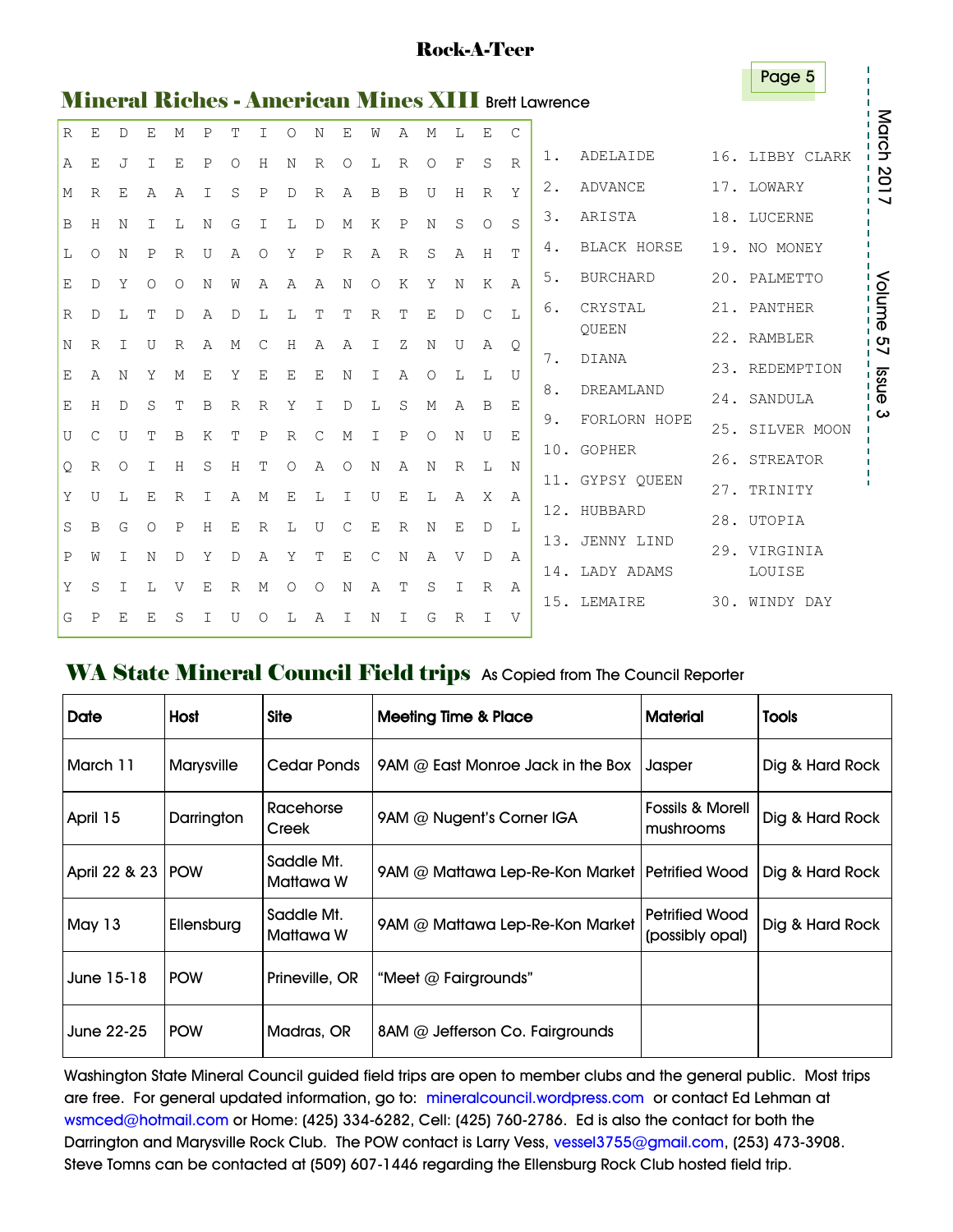|              |             |   |        |   |   |   |          |             |              |   |            |                |            |   |              |              | Page 5                                                     |                       |
|--------------|-------------|---|--------|---|---|---|----------|-------------|--------------|---|------------|----------------|------------|---|--------------|--------------|------------------------------------------------------------|-----------------------|
|              |             |   |        |   |   |   |          |             |              |   |            |                |            |   |              |              | <b>Mineral Riches - American Mines XIII Brett Lawrence</b> |                       |
| $\mathbb{R}$ | E           | D | Ε      | М | P | T | Ι        | $\circ$     | Ν            | Ε | W          | Α              | М          | L | E            | C            |                                                            | March                 |
|              | E           | J | $\top$ | E | P | О | H        | N           | $\mathbb{R}$ | O | L          | $\mathbb{R}$   | Ο          | F | S            | $\mathbb{R}$ | ADELAIDE<br>16.<br>LIBBY CLARK<br>$1$ .                    |                       |
|              | R           | Ε | Α      | Α | I | S | P        | D           | R            | Α | B          | B              | U          | Н | R            | Y            | 2.<br><b>ADVANCE</b><br>17.<br>LOWARY                      | $\frac{201}{1}$<br>אי |
|              | Н           | N | Т      | L | N | G | Τ        |             | D            | М | K          | P              | N          | S | $\circ$      | S            | 3.<br>ARISTA<br>18.<br>LUCERNE                             |                       |
|              | O           | N | P      | R | U | Α | Ω        | Y           | P            | R | Α          | $\overline{R}$ | S          | Α | H            | т            | <b>BLACK HORSE</b><br>19.<br>4.<br>NO MONEY                |                       |
|              | D           | Y | Ω      | Ω | N | W | Α        | Α           | Α            | N | $\bigcirc$ | K              | Y          | N | K            | Α            | 5.<br><b>BURCHARD</b><br>20.<br>PALMETTO                   |                       |
|              | D           | L | т      | D | Α | D | Т.       | L           | Т            | т | R          | т              | Ε          | D | $\mathsf{C}$ | L            | CRYSTAL<br>21.<br>PANTHER<br>6.                            | Nolume<br>Holume      |
|              | $\mathbb R$ | Ι | U      | R | Α | М | С        | Н           | A            | Α | I          | Ζ              | Ν          | U | Α            | Q            | QUEEN<br>22. RAMBLER                                       | i ທ                   |
|              | Α           | N | Υ      | М | E | Y | E        | E           | Ε            | N | Τ          | Α              | Ω          | L | L            | U            | 7.<br><b>DIANA</b><br>23. REDEMPTION                       | ı J                   |
|              | Н           | D | S      | т | B | R | R        | Υ           | Τ            | D | L          | S              | М          | А | B            | Ε            | 8.<br>DREAMLAND<br>24. SANDULA                             | ssue<br> --−−−−       |
|              | C           | U | т      | B | K | т | P        | $\mathbb R$ | С            | M | Ι          | P              | $\bigcirc$ | N | U            | Е            | 9.<br>FORLORN HOPE<br>25.<br>SILVER MOON                   | ω                     |
|              | R           | Ω | I      | Н | S | Н | т        | Ω           | Α            | Ω | N          | А              | N          | R | L            | N            | <b>GOPHER</b><br>10.<br>26. STREATOR                       |                       |
|              |             |   |        |   | Τ |   |          |             |              | Ι |            | E              |            |   | X            |              | GYPSY OUEEN<br>11.<br>27.<br>TRINITY                       | ٠                     |
|              | U           | L | Е      | R |   | Α | М        | Ε           | L            |   | U          |                | L          | Α |              | Α            | HUBBARD<br>12.<br>28.<br>UTOPIA                            |                       |
|              | B           | G | O      | P | Н | Ε | R        | L           | U            | С | E          | $\mathbb{R}$   | Ν          | Ε | D            | L            | JENNY LIND<br>13.<br>29.                                   |                       |
|              | W           | Ι | Ν      | D | Υ | D | Α        | Υ           | Τ            | Ε | С          | Ν              | Α          | V | D            | Α            | VIRGINIA<br>LADY ADAMS<br>14.<br>LOUISE                    |                       |
|              | S           | Τ | L      | V | Ε | R | М        | Ω           | Ω            | N | Α          | т              | S          | Ι | R            | Α            |                                                            |                       |
|              | P           | Е | Ε      | S | Ι | U | $\Omega$ | L           | Α            | Ι | Ν          | Ι              | G          | R | I            | V            | LEMAIRE<br>15.<br>30.<br>WINDY DAY                         |                       |
|              |             |   |        |   |   |   |          |             |              |   |            |                |            |   |              |              |                                                            |                       |

#### WA State Mineral Council Field trips As Copied from The Council Reporter

| <b>Date</b>         | Host       | <b>Site</b>             | <b>Meeting Time &amp; Place</b>                  | <b>Material</b>                          | <b>Tools</b>    |
|---------------------|------------|-------------------------|--------------------------------------------------|------------------------------------------|-----------------|
| March 11            | Marysville | Cedar Ponds             | 9AM $@$ East Monroe Jack in the Box              | Jasper                                   | Dig & Hard Rock |
| April 15            | Darrington | Racehorse<br>Creek      | 9AM @ Nugent's Corner IGA                        | <b>Fossils &amp; Morell</b><br>mushrooms | Dig & Hard Rock |
| April 22 & 23   POW |            | Saddle Mt.<br>Mattawa W | 9AM @ Mattawa Lep-Re-Kon Market   Petrified Wood |                                          | Dig & Hard Rock |
| May 13              | Ellensburg | Saddle Mt.<br>Mattawa W | 9AM @ Mattawa Lep-Re-Kon Market                  | <b>Petrified Wood</b><br>(possibly opal) | Dig & Hard Rock |
| June 15-18          | <b>POW</b> | Prineville, OR          | "Meet $@$ Fairgrounds"                           |                                          |                 |
| June 22-25          | <b>POW</b> | Madras, OR              | $8$ AM @ Jefferson Co. Fairgrounds               |                                          |                 |

Washington State Mineral Council guided field trips are open to member clubs and the general public. Most trips are free. For general updated information, go to: mineralcouncil.wordpress.com or contact Ed Lehman at wsmced@hotmail.com or Home: (425) 334-6282, Cell: (425) 760-2786. Ed is also the contact for both the Darrington and Marysville Rock Club. The POW contact is Larry Vess, vessel3755@gmail.com, (253) 473-3908. Steve Tomns can be contacted at (509) 607-1446 regarding the Ellensburg Rock Club hosted field trip.

## Rock-A-Teer